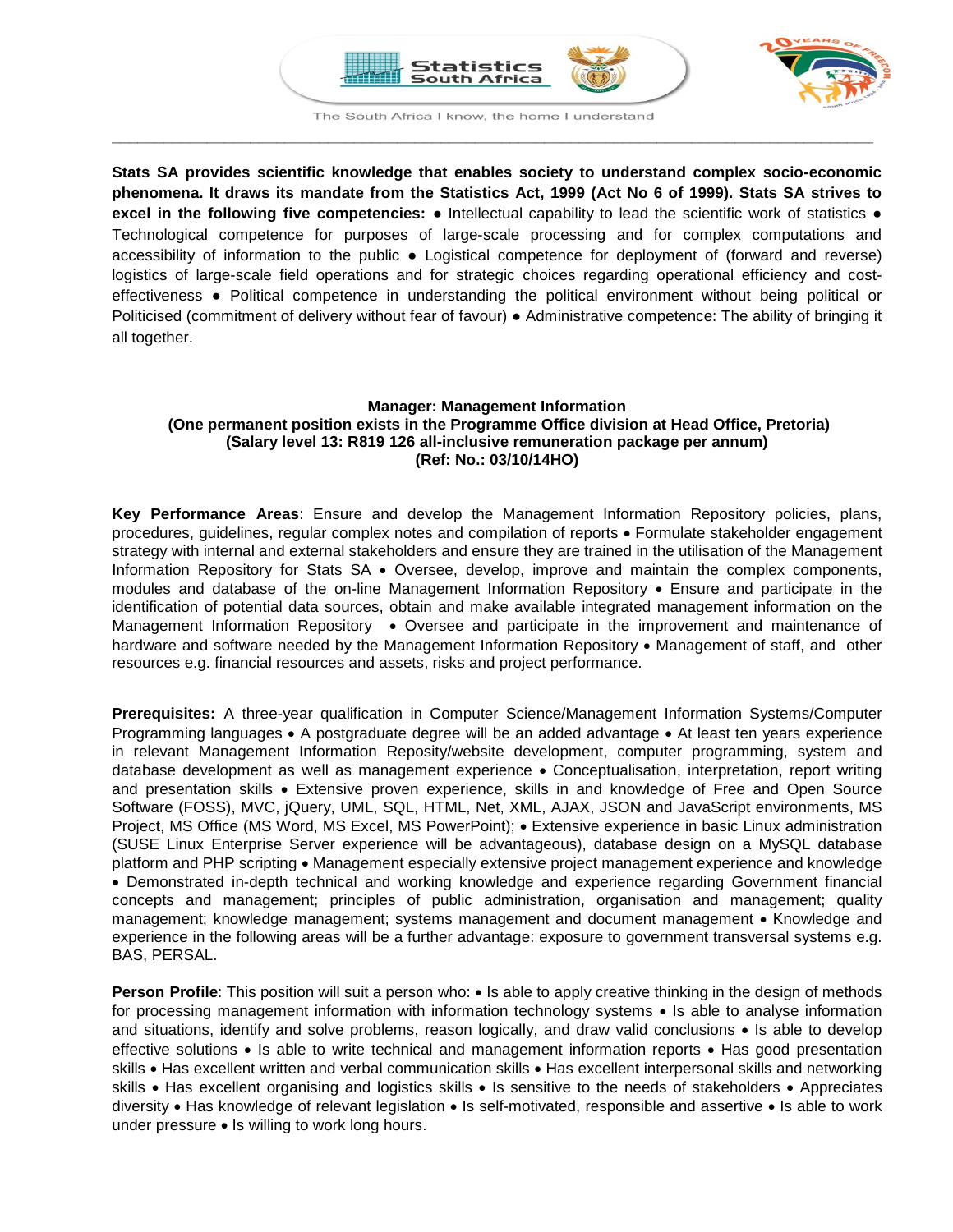



The South Africa I know, the home I understand **\_\_\_\_\_\_\_\_\_\_\_\_\_\_\_\_\_\_\_\_\_\_\_\_\_\_\_\_\_\_\_\_\_\_\_\_\_\_\_\_\_\_\_\_\_\_\_\_\_\_\_\_\_\_\_\_\_\_\_\_\_\_\_\_\_\_\_\_\_\_\_\_\_\_\_\_\_\_\_\_\_\_\_\_\_\_\_\_**

**Stats SA provides scientific knowledge that enables society to understand complex socio-economic phenomena. It draws its mandate from the Statistics Act, 1999 (Act No 6 of 1999). Stats SA strives to excel in the following five competencies:** ● Intellectual capability to lead the scientific work of statistics ● Technological competence for purposes of large-scale processing and for complex computations and accessibility of information to the public ● Logistical competence for deployment of (forward and reverse) logistics of large-scale field operations and for strategic choices regarding operational efficiency and costeffectiveness ● Political competence in understanding the political environment without being political or Politicised (commitment of delivery without fear of favour) ● Administrative competence: The ability of bringing it all together.

# **Manager: Management Information (One permanent position exists in the Programme Office division at Head Office, Pretoria) (Salary level 13: R819 126 all-inclusive remuneration package per annum) (Ref: No.: 03/10/14HO)**

**Key Performance Areas**: Ensure and develop the Management Information Repository policies, plans, procedures, guidelines, regular complex notes and compilation of reports • Formulate stakeholder engagement strategy with internal and external stakeholders and ensure they are trained in the utilisation of the Management Information Repository for Stats SA • Oversee, develop, improve and maintain the complex components, modules and database of the on-line Management Information Repository • Ensure and participate in the identification of potential data sources, obtain and make available integrated management information on the Management Information Repository • Oversee and participate in the improvement and maintenance of hardware and software needed by the Management Information Repository • Management of staff, and other resources e.g. financial resources and assets, risks and project performance.

**Prerequisites:** A three-year qualification in Computer Science/Management Information Systems/Computer Programming languages • A postgraduate degree will be an added advantage • At least ten years experience in relevant Management Information Reposity/website development, computer programming, system and database development as well as management experience • Conceptualisation, interpretation, report writing and presentation skills • Extensive proven experience, skills in and knowledge of Free and Open Source Software (FOSS), MVC, jQuery, UML, SQL, HTML, Net, XML, AJAX, JSON and JavaScript environments, MS Project, MS Office (MS Word, MS Excel, MS PowerPoint); • Extensive experience in basic Linux administration (SUSE Linux Enterprise Server experience will be advantageous), database design on a MySQL database platform and PHP scripting • Management especially extensive project management experience and knowledge • Demonstrated in-depth technical and working knowledge and experience regarding Government financial concepts and management; principles of public administration, organisation and management; quality management; knowledge management; systems management and document management • Knowledge and experience in the following areas will be a further advantage: exposure to government transversal systems e.g. BAS, PERSAL.

**Person Profile**: This position will suit a person who: • Is able to apply creative thinking in the design of methods for processing management information with information technology systems • Is able to analyse information and situations, identify and solve problems, reason logically, and draw valid conclusions • Is able to develop effective solutions • Is able to write technical and management information reports • Has good presentation skills • Has excellent written and verbal communication skills • Has excellent interpersonal skills and networking skills • Has excellent organising and logistics skills • Is sensitive to the needs of stakeholders • Appreciates diversity • Has knowledge of relevant legislation • Is self-motivated, responsible and assertive • Is able to work under pressure • Is willing to work long hours.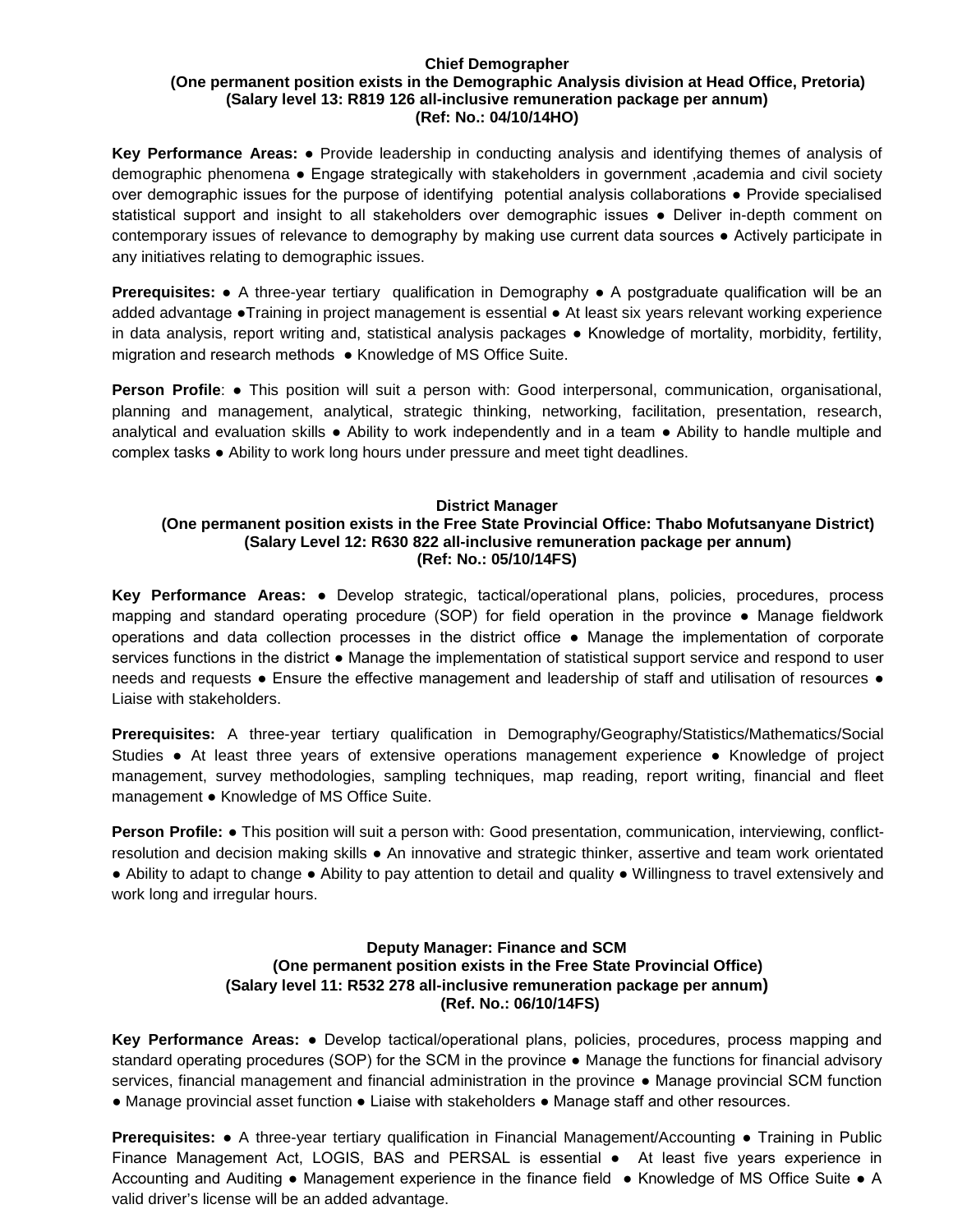#### **Chief Demographer (One permanent position exists in the Demographic Analysis division at Head Office, Pretoria) (Salary level 13: R819 126 all-inclusive remuneration package per annum) (Ref: No.: 04/10/14HO)**

**Key Performance Areas:** ● Provide leadership in conducting analysis and identifying themes of analysis of demographic phenomena ● Engage strategically with stakeholders in government ,academia and civil society over demographic issues for the purpose of identifying potential analysis collaborations ● Provide specialised statistical support and insight to all stakeholders over demographic issues • Deliver in-depth comment on contemporary issues of relevance to demography by making use current data sources ● Actively participate in any initiatives relating to demographic issues.

**Prerequisites:** ● A three-year tertiary qualification in Demography ● A postgraduate qualification will be an added advantage ●Training in project management is essential ● At least six years relevant working experience in data analysis, report writing and, statistical analysis packages ● Knowledge of mortality, morbidity, fertility, migration and research methods ● Knowledge of MS Office Suite.

**Person Profile: •** This position will suit a person with: Good interpersonal, communication, organisational, planning and management, analytical, strategic thinking, networking, facilitation, presentation, research, analytical and evaluation skills ● Ability to work independently and in a team ● Ability to handle multiple and complex tasks ● Ability to work long hours under pressure and meet tight deadlines.

## **District Manager**

#### **(One permanent position exists in the Free State Provincial Office: Thabo Mofutsanyane District) (Salary Level 12: R630 822 all-inclusive remuneration package per annum) (Ref: No.: 05/10/14FS)**

**Key Performance Areas:** ● Develop strategic, tactical/operational plans, policies, procedures, process mapping and standard operating procedure (SOP) for field operation in the province ● Manage fieldwork operations and data collection processes in the district office ● Manage the implementation of corporate services functions in the district ● Manage the implementation of statistical support service and respond to user needs and requests • Ensure the effective management and leadership of staff and utilisation of resources • Liaise with stakeholders.

**Prerequisites:** A three-year tertiary qualification in Demography/Geography/Statistics/Mathematics/Social Studies ● At least three years of extensive operations management experience ● Knowledge of project management, survey methodologies, sampling techniques, map reading, report writing, financial and fleet management ● Knowledge of MS Office Suite.

**Person Profile: ●** This position will suit a person with: Good presentation, communication, interviewing, conflictresolution and decision making skills ● An innovative and strategic thinker, assertive and team work orientated ● Ability to adapt to change ● Ability to pay attention to detail and quality ● Willingness to travel extensively and work long and irregular hours.

# **Deputy Manager: Finance and SCM (One permanent position exists in the Free State Provincial Office) (Salary level 11: R532 278 all-inclusive remuneration package per annum) (Ref. No.: 06/10/14FS)**

**Key Performance Areas:** ● Develop tactical/operational plans, policies, procedures, process mapping and standard operating procedures (SOP) for the SCM in the province • Manage the functions for financial advisory services, financial management and financial administration in the province ● Manage provincial SCM function ● Manage provincial asset function ● Liaise with stakeholders ● Manage staff and other resources.

**Prerequisites: •** A three-year tertiary qualification in Financial Management/Accounting • Training in Public Finance Management Act, LOGIS, BAS and PERSAL is essential • At least five years experience in Accounting and Auditing ● Management experience in the finance field ● Knowledge of MS Office Suite ● A valid driver's license will be an added advantage.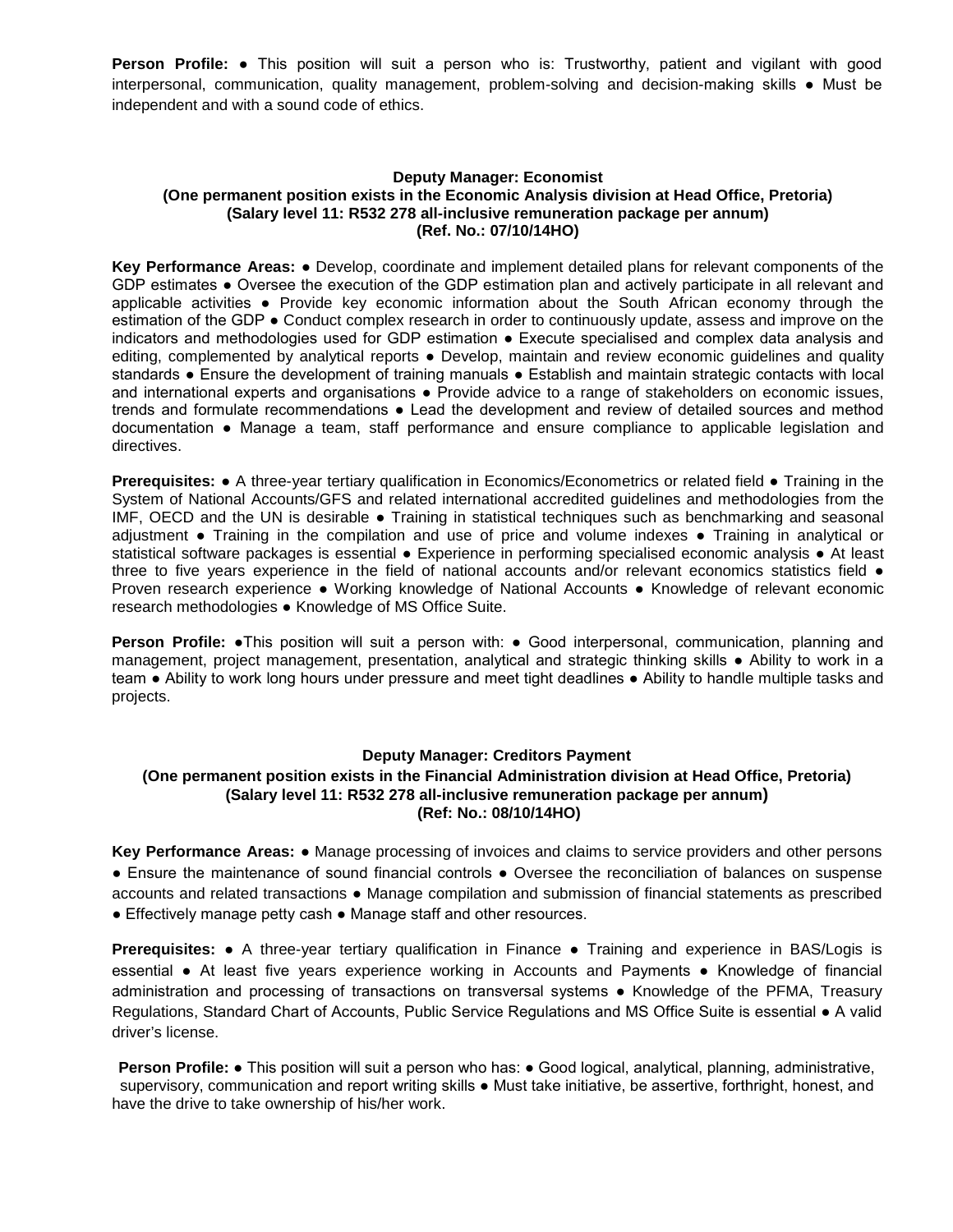**Person Profile: ●** This position will suit a person who is: Trustworthy, patient and vigilant with good interpersonal, communication, quality management, problem-solving and decision-making skills ● Must be independent and with a sound code of ethics.

### **Deputy Manager: Economist (One permanent position exists in the Economic Analysis division at Head Office, Pretoria) (Salary level 11: R532 278 all-inclusive remuneration package per annum) (Ref. No.: 07/10/14HO)**

**Key Performance Areas:** ● Develop, coordinate and implement detailed plans for relevant components of the GDP estimates ● Oversee the execution of the GDP estimation plan and actively participate in all relevant and applicable activities ● Provide key economic information about the South African economy through the estimation of the GDP ● Conduct complex research in order to continuously update, assess and improve on the indicators and methodologies used for GDP estimation ● Execute specialised and complex data analysis and editing, complemented by analytical reports • Develop, maintain and review economic guidelines and quality standards ● Ensure the development of training manuals ● Establish and maintain strategic contacts with local and international experts and organisations • Provide advice to a range of stakeholders on economic issues, trends and formulate recommendations ● Lead the development and review of detailed sources and method documentation ● Manage a team, staff performance and ensure compliance to applicable legislation and directives.

**Prerequisites:** ● A three-year tertiary qualification in Economics/Econometrics or related field ● Training in the System of National Accounts/GFS and related international accredited guidelines and methodologies from the IMF, OECD and the UN is desirable ● Training in statistical techniques such as benchmarking and seasonal adjustment ● Training in the compilation and use of price and volume indexes ● Training in analytical or statistical software packages is essential • Experience in performing specialised economic analysis • At least three to five years experience in the field of national accounts and/or relevant economics statistics field ● Proven research experience ● Working knowledge of National Accounts ● Knowledge of relevant economic research methodologies ● Knowledge of MS Office Suite.

**Person Profile:** •This position will suit a person with: • Good interpersonal, communication, planning and management, project management, presentation, analytical and strategic thinking skills ● Ability to work in a team ● Ability to work long hours under pressure and meet tight deadlines ● Ability to handle multiple tasks and projects.

## **Deputy Manager: Creditors Payment**

## **(One permanent position exists in the Financial Administration division at Head Office, Pretoria) (Salary level 11: R532 278 all-inclusive remuneration package per annum) (Ref: No.: 08/10/14HO)**

**Key Performance Areas:** ● Manage processing of invoices and claims to service providers and other persons ● Ensure the maintenance of sound financial controls ● Oversee the reconciliation of balances on suspense accounts and related transactions ● Manage compilation and submission of financial statements as prescribed ● Effectively manage petty cash ● Manage staff and other resources.

**Prerequisites:** ● A three-year tertiary qualification in Finance ● Training and experience in BAS/Logis is essential ● At least five years experience working in Accounts and Payments ● Knowledge of financial administration and processing of transactions on transversal systems ● Knowledge of the PFMA, Treasury Regulations, Standard Chart of Accounts, Public Service Regulations and MS Office Suite is essential ● A valid driver's license.

**Person Profile: •** This position will suit a person who has: • Good logical, analytical, planning, administrative, supervisory, communication and report writing skills • Must take initiative, be assertive, forthright, honest, and have the drive to take ownership of his/her work.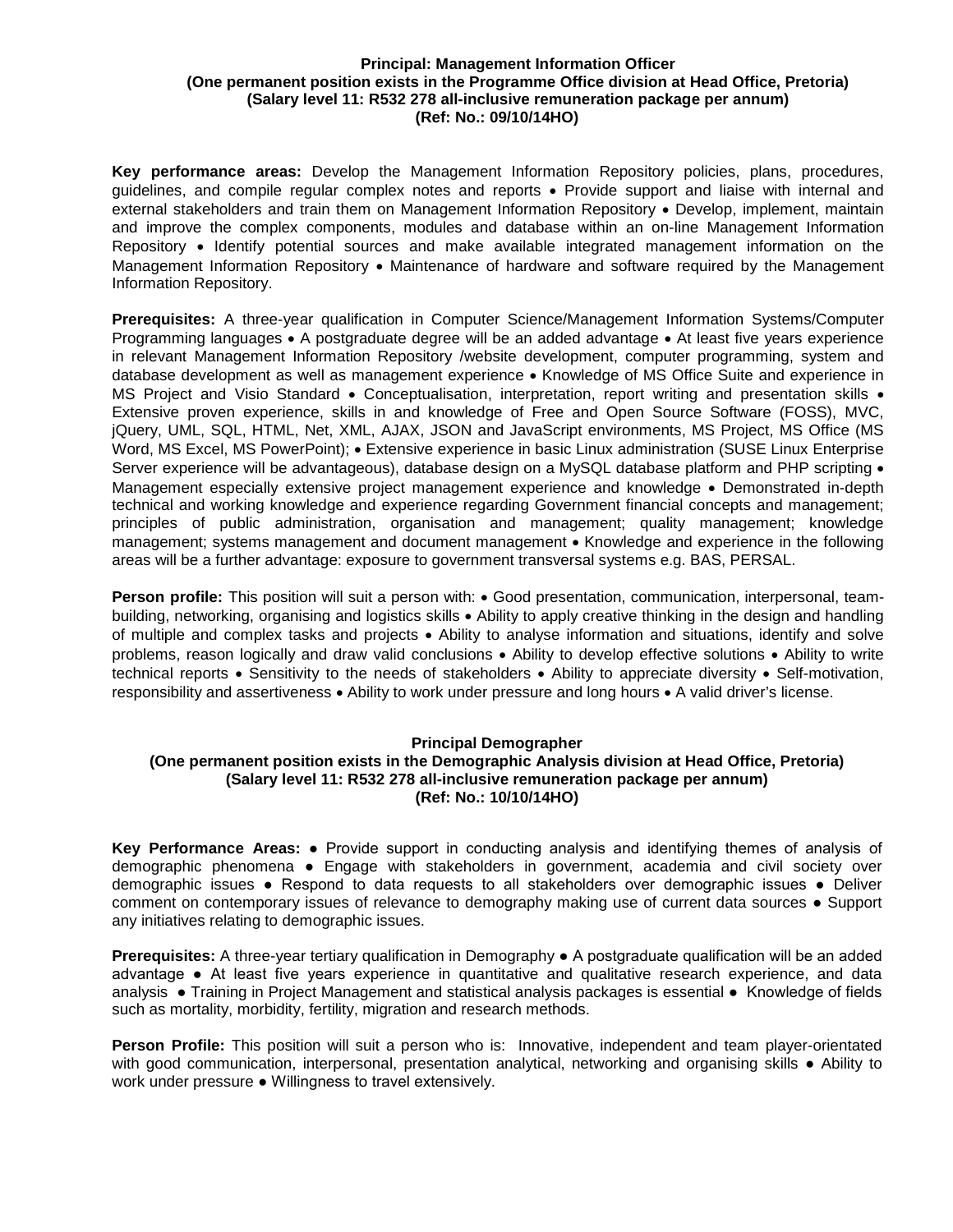### **Principal: Management Information Officer (One permanent position exists in the Programme Office division at Head Office, Pretoria) (Salary level 11: R532 278 all-inclusive remuneration package per annum) (Ref: No.: 09/10/14HO)**

**Key performance areas:** Develop the Management Information Repository policies, plans, procedures, guidelines, and compile regular complex notes and reports • Provide support and liaise with internal and external stakeholders and train them on Management Information Repository • Develop, implement, maintain and improve the complex components, modules and database within an on-line Management Information Repository • Identify potential sources and make available integrated management information on the Management Information Repository • Maintenance of hardware and software required by the Management Information Repository.

**Prerequisites:** A three-year qualification in Computer Science/Management Information Systems/Computer Programming languages • A postgraduate degree will be an added advantage • At least five years experience in relevant Management Information Repository /website development, computer programming, system and database development as well as management experience • Knowledge of MS Office Suite and experience in MS Project and Visio Standard • Conceptualisation, interpretation, report writing and presentation skills • Extensive proven experience, skills in and knowledge of Free and Open Source Software (FOSS), MVC, jQuery, UML, SQL, HTML, Net, XML, AJAX, JSON and JavaScript environments, MS Project, MS Office (MS Word, MS Excel, MS PowerPoint); • Extensive experience in basic Linux administration (SUSE Linux Enterprise Server experience will be advantageous), database design on a MySQL database platform and PHP scripting  $\bullet$ Management especially extensive project management experience and knowledge • Demonstrated in-depth technical and working knowledge and experience regarding Government financial concepts and management; principles of public administration, organisation and management; quality management; knowledge management; systems management and document management • Knowledge and experience in the following areas will be a further advantage: exposure to government transversal systems e.g. BAS, PERSAL.

**Person profile:** This position will suit a person with: • Good presentation, communication, interpersonal, teambuilding, networking, organising and logistics skills • Ability to apply creative thinking in the design and handling of multiple and complex tasks and projects • Ability to analyse information and situations, identify and solve problems, reason logically and draw valid conclusions • Ability to develop effective solutions • Ability to write technical reports • Sensitivity to the needs of stakeholders • Ability to appreciate diversity • Self-motivation, responsibility and assertiveness • Ability to work under pressure and long hours • A valid driver's license.

## **Principal Demographer**

# **(One permanent position exists in the Demographic Analysis division at Head Office, Pretoria) (Salary level 11: R532 278 all-inclusive remuneration package per annum) (Ref: No.: 10/10/14HO)**

**Key Performance Areas:** ● Provide support in conducting analysis and identifying themes of analysis of demographic phenomena ● Engage with stakeholders in government, academia and civil society over demographic issues ● Respond to data requests to all stakeholders over demographic issues ● Deliver comment on contemporary issues of relevance to demography making use of current data sources ● Support any initiatives relating to demographic issues.

**Prerequisites:** A three-year tertiary qualification in Demography ● A postgraduate qualification will be an added advantage ● At least five years experience in quantitative and qualitative research experience, and data analysis ● Training in Project Management and statistical analysis packages is essential ● Knowledge of fields such as mortality, morbidity, fertility, migration and research methods.

**Person Profile:** This position will suit a person who is: Innovative, independent and team player-orientated with good communication, interpersonal, presentation analytical, networking and organising skills • Ability to work under pressure ● Willingness to travel extensively.